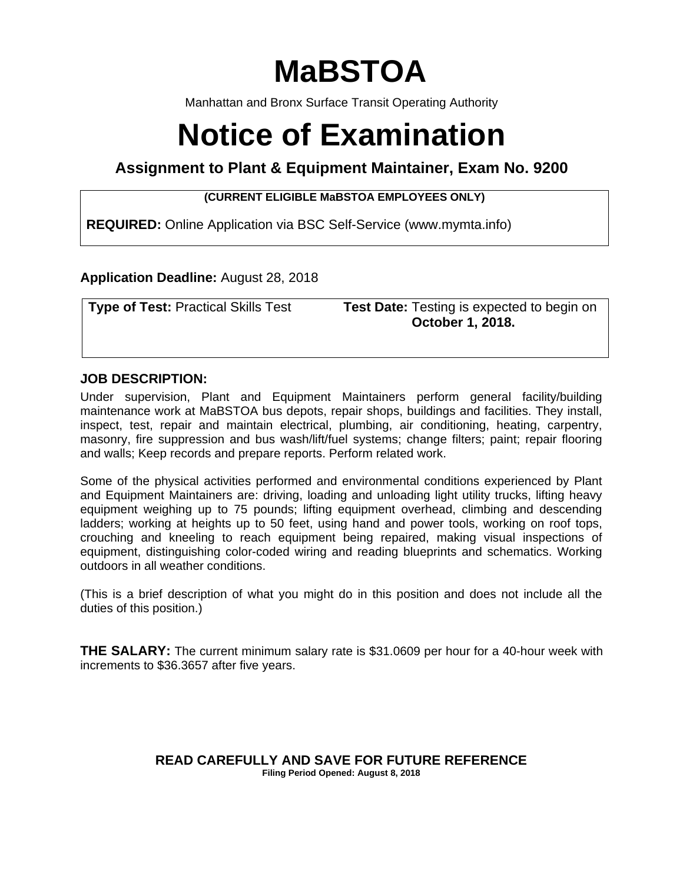# **MaBSTOA**

Manhattan and Bronx Surface Transit Operating Authority

# **Notice of Examination**

# **Assignment to Plant & Equipment Maintainer, Exam No. 9200**

### **(CURRENT ELIGIBLE MaBSTOA EMPLOYEES ONLY)**

**REQUIRED:** Online Application via BSC Self-Service (www.mymta.info)

# **Application Deadline:** August 28, 2018

**Type of Test:** Practical Skills Test **Test Date:** Testing is expected to begin on  **October 1, 2018.** 

# **JOB DESCRIPTION:**

Under supervision, Plant and Equipment Maintainers perform general facility/building maintenance work at MaBSTOA bus depots, repair shops, buildings and facilities. They install, inspect, test, repair and maintain electrical, plumbing, air conditioning, heating, carpentry, masonry, fire suppression and bus wash/lift/fuel systems; change filters; paint; repair flooring and walls; Keep records and prepare reports. Perform related work.

Some of the physical activities performed and environmental conditions experienced by Plant and Equipment Maintainers are: driving, loading and unloading light utility trucks, lifting heavy equipment weighing up to 75 pounds; lifting equipment overhead, climbing and descending ladders; working at heights up to 50 feet, using hand and power tools, working on roof tops, crouching and kneeling to reach equipment being repaired, making visual inspections of equipment, distinguishing color-coded wiring and reading blueprints and schematics. Working outdoors in all weather conditions.

(This is a brief description of what you might do in this position and does not include all the duties of this position.)

**THE SALARY:** The current minimum salary rate is \$31.0609 per hour for a 40-hour week with increments to \$36.3657 after five years.

#### **READ CAREFULLY AND SAVE FOR FUTURE REFERENCE Filing Period Opened: August 8, 2018**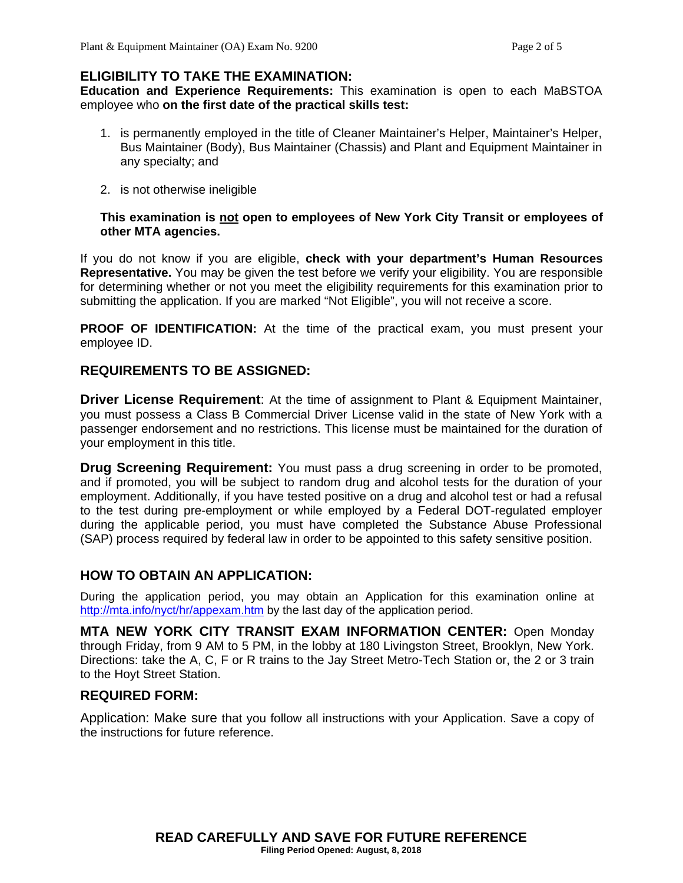# **ELIGIBILITY TO TAKE THE EXAMINATION:**

**Education and Experience Requirements:** This examination is open to each MaBSTOA employee who **on the first date of the practical skills test:**

- 1. is permanently employed in the title of Cleaner Maintainer's Helper, Maintainer's Helper, Bus Maintainer (Body), Bus Maintainer (Chassis) and Plant and Equipment Maintainer in any specialty; and
- 2. is not otherwise ineligible

#### **This examination is not open to employees of New York City Transit or employees of other MTA agencies.**

If you do not know if you are eligible, **check with your department's Human Resources Representative.** You may be given the test before we verify your eligibility. You are responsible for determining whether or not you meet the eligibility requirements for this examination prior to submitting the application. If you are marked "Not Eligible", you will not receive a score.

**PROOF OF IDENTIFICATION:** At the time of the practical exam, you must present your employee ID.

# **REQUIREMENTS TO BE ASSIGNED:**

**Driver License Requirement:** At the time of assignment to Plant & Equipment Maintainer, you must possess a Class B Commercial Driver License valid in the state of New York with a passenger endorsement and no restrictions. This license must be maintained for the duration of your employment in this title.

**Drug Screening Requirement:** You must pass a drug screening in order to be promoted, and if promoted, you will be subject to random drug and alcohol tests for the duration of your employment. Additionally, if you have tested positive on a drug and alcohol test or had a refusal to the test during pre-employment or while employed by a Federal DOT-regulated employer during the applicable period, you must have completed the Substance Abuse Professional (SAP) process required by federal law in order to be appointed to this safety sensitive position.

### **HOW TO OBTAIN AN APPLICATION:**

During the application period, you may obtain an Application for this examination online at http://mta.info/nyct/hr/appexam.htm by the last day of the application period.

**MTA NEW YORK CITY TRANSIT EXAM INFORMATION CENTER:** Open Monday through Friday, from 9 AM to 5 PM, in the lobby at 180 Livingston Street, Brooklyn, New York. Directions: take the A, C, F or R trains to the Jay Street Metro-Tech Station or, the 2 or 3 train to the Hoyt Street Station.

### **REQUIRED FORM:**

Application: Make sure that you follow all instructions with your Application. Save a copy of the instructions for future reference.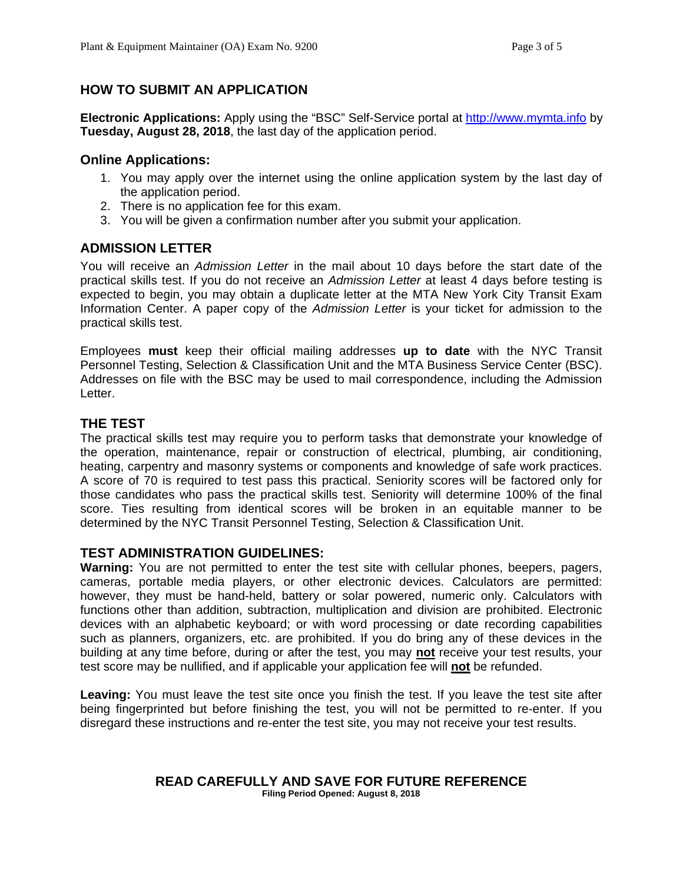# **HOW TO SUBMIT AN APPLICATION**

**Electronic Applications:** Apply using the "BSC" Self-Service portal at http://www.mymta.info by **Tuesday, August 28, 2018**, the last day of the application period.

#### **Online Applications:**

- 1. You may apply over the internet using the online application system by the last day of the application period.
- 2. There is no application fee for this exam.
- 3. You will be given a confirmation number after you submit your application.

# **ADMISSION LETTER**

You will receive an *Admission Letter* in the mail about 10 days before the start date of the practical skills test. If you do not receive an *Admission Letter* at least 4 days before testing is expected to begin, you may obtain a duplicate letter at the MTA New York City Transit Exam Information Center. A paper copy of the *Admission Letter* is your ticket for admission to the practical skills test.

Employees **must** keep their official mailing addresses **up to date** with the NYC Transit Personnel Testing, Selection & Classification Unit and the MTA Business Service Center (BSC). Addresses on file with the BSC may be used to mail correspondence, including the Admission Letter.

# **THE TEST**

The practical skills test may require you to perform tasks that demonstrate your knowledge of the operation, maintenance, repair or construction of electrical, plumbing, air conditioning, heating, carpentry and masonry systems or components and knowledge of safe work practices. A score of 70 is required to test pass this practical. Seniority scores will be factored only for those candidates who pass the practical skills test. Seniority will determine 100% of the final score. Ties resulting from identical scores will be broken in an equitable manner to be determined by the NYC Transit Personnel Testing, Selection & Classification Unit.

### **TEST ADMINISTRATION GUIDELINES:**

**Warning:** You are not permitted to enter the test site with cellular phones, beepers, pagers, cameras, portable media players, or other electronic devices. Calculators are permitted: however, they must be hand-held, battery or solar powered, numeric only. Calculators with functions other than addition, subtraction, multiplication and division are prohibited. Electronic devices with an alphabetic keyboard; or with word processing or date recording capabilities such as planners, organizers, etc. are prohibited. If you do bring any of these devices in the building at any time before, during or after the test, you may **not** receive your test results, your test score may be nullified, and if applicable your application fee will **not** be refunded.

**Leaving:** You must leave the test site once you finish the test. If you leave the test site after being fingerprinted but before finishing the test, you will not be permitted to re-enter. If you disregard these instructions and re-enter the test site, you may not receive your test results.

#### **READ CAREFULLY AND SAVE FOR FUTURE REFERENCE Filing Period Opened: August 8, 2018**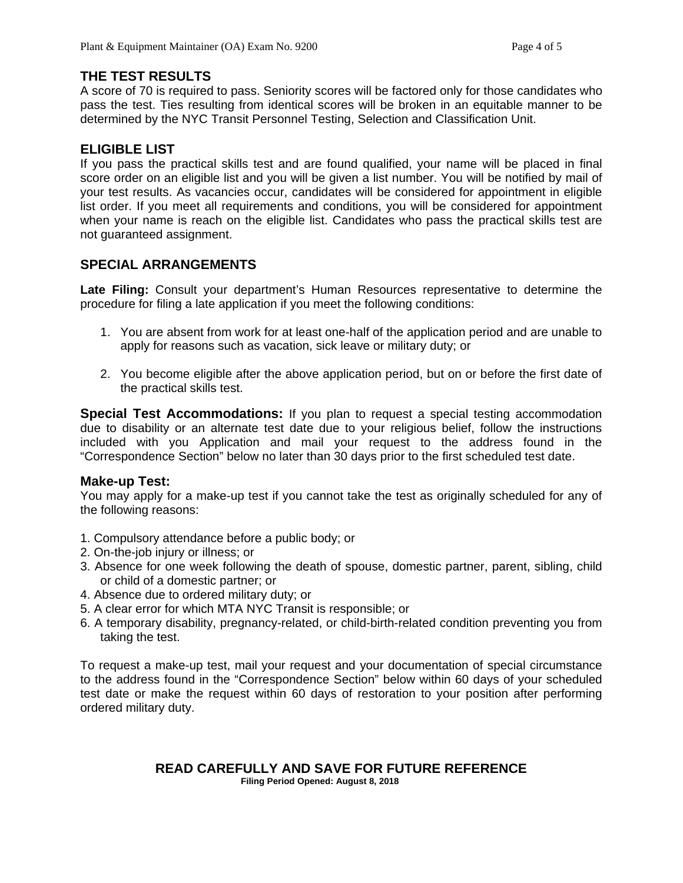# **THE TEST RESULTS**

A score of 70 is required to pass. Seniority scores will be factored only for those candidates who pass the test. Ties resulting from identical scores will be broken in an equitable manner to be determined by the NYC Transit Personnel Testing, Selection and Classification Unit.

# **ELIGIBLE LIST**

If you pass the practical skills test and are found qualified, your name will be placed in final score order on an eligible list and you will be given a list number. You will be notified by mail of your test results. As vacancies occur, candidates will be considered for appointment in eligible list order. If you meet all requirements and conditions, you will be considered for appointment when your name is reach on the eligible list. Candidates who pass the practical skills test are not guaranteed assignment.

### **SPECIAL ARRANGEMENTS**

**Late Filing:** Consult your department's Human Resources representative to determine the procedure for filing a late application if you meet the following conditions:

- 1. You are absent from work for at least one-half of the application period and are unable to apply for reasons such as vacation, sick leave or military duty; or
- 2. You become eligible after the above application period, but on or before the first date of the practical skills test.

**Special Test Accommodations:** If you plan to request a special testing accommodation due to disability or an alternate test date due to your religious belief, follow the instructions included with you Application and mail your request to the address found in the "Correspondence Section" below no later than 30 days prior to the first scheduled test date.

### **Make-up Test:**

You may apply for a make-up test if you cannot take the test as originally scheduled for any of the following reasons:

- 1. Compulsory attendance before a public body; or
- 2. On-the-job injury or illness; or
- 3. Absence for one week following the death of spouse, domestic partner, parent, sibling, child or child of a domestic partner; or
- 4. Absence due to ordered military duty; or
- 5. A clear error for which MTA NYC Transit is responsible; or
- 6. A temporary disability, pregnancy-related, or child-birth-related condition preventing you from taking the test.

To request a make-up test, mail your request and your documentation of special circumstance to the address found in the "Correspondence Section" below within 60 days of your scheduled test date or make the request within 60 days of restoration to your position after performing ordered military duty.